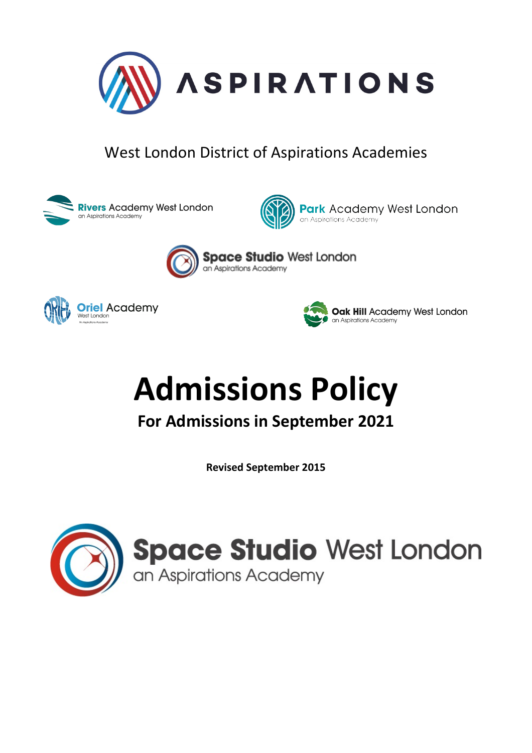

# West London District of Aspirations Academies





**Park** Academy West London an Aspirations Academy



**Space Studio West London** an Aspirations Academy





# **Admissions Policy**

**For Admissions in September 2021**

**Revised September 2015**

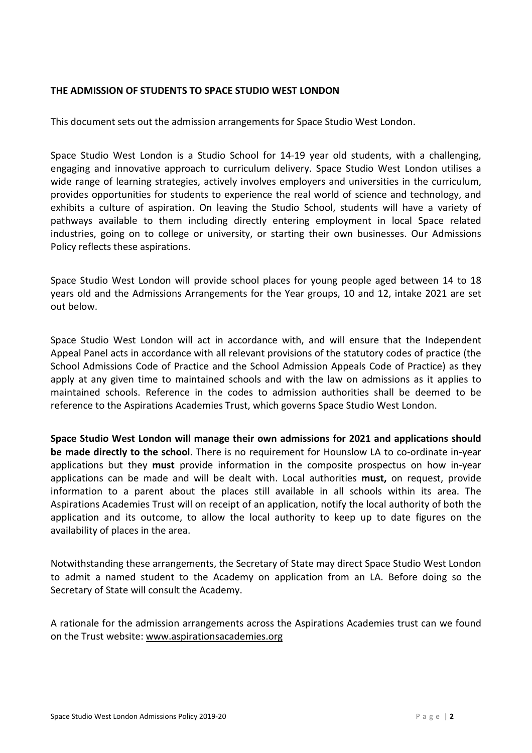#### **THE ADMISSION OF STUDENTS TO SPACE STUDIO WEST LONDON**

This document sets out the admission arrangements for Space Studio West London.

Space Studio West London is a Studio School for 14-19 year old students, with a challenging, engaging and innovative approach to curriculum delivery. Space Studio West London utilises a wide range of learning strategies, actively involves employers and universities in the curriculum, provides opportunities for students to experience the real world of science and technology, and exhibits a culture of aspiration. On leaving the Studio School, students will have a variety of pathways available to them including directly entering employment in local Space related industries, going on to college or university, or starting their own businesses. Our Admissions Policy reflects these aspirations.

Space Studio West London will provide school places for young people aged between 14 to 18 years old and the Admissions Arrangements for the Year groups, 10 and 12, intake 2021 are set out below.

Space Studio West London will act in accordance with, and will ensure that the Independent Appeal Panel acts in accordance with all relevant provisions of the statutory codes of practice (the School Admissions Code of Practice and the School Admission Appeals Code of Practice) as they apply at any given time to maintained schools and with the law on admissions as it applies to maintained schools. Reference in the codes to admission authorities shall be deemed to be reference to the Aspirations Academies Trust, which governs Space Studio West London.

**Space Studio West London will manage their own admissions for 2021 and applications should be made directly to the school**. There is no requirement for Hounslow LA to co-ordinate in-year applications but they **must** provide information in the composite prospectus on how in-year applications can be made and will be dealt with. Local authorities **must,** on request, provide information to a parent about the places still available in all schools within its area. The Aspirations Academies Trust will on receipt of an application, notify the local authority of both the application and its outcome, to allow the local authority to keep up to date figures on the availability of places in the area.

Notwithstanding these arrangements, the Secretary of State may direct Space Studio West London to admit a named student to the Academy on application from an LA. Before doing so the Secretary of State will consult the Academy.

A rationale for the admission arrangements across the Aspirations Academies trust can we found on the Trust website: [www.aspirationsacademies.org](http://www.aspirationsacademies.org/)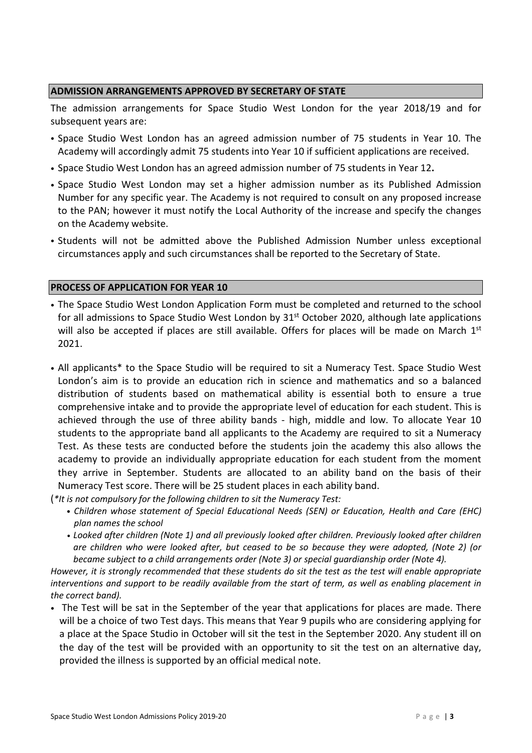#### **ADMISSION ARRANGEMENTS APPROVED BY SECRETARY OF STATE**

The admission arrangements for Space Studio West London for the year 2018/19 and for subsequent years are:

- Space Studio West London has an agreed admission number of 75 students in Year 10. The Academy will accordingly admit 75 students into Year 10 if sufficient applications are received.
- Space Studio West London has an agreed admission number of 75 students in Year 12**.**
- Space Studio West London may set a higher admission number as its Published Admission Number for any specific year. The Academy is not required to consult on any proposed increase to the PAN; however it must notify the Local Authority of the increase and specify the changes on the Academy website.
- Students will not be admitted above the Published Admission Number unless exceptional circumstances apply and such circumstances shall be reported to the Secretary of State.

#### **PROCESS OF APPLICATION FOR YEAR 10**

- The Space Studio West London Application Form must be completed and returned to the school for all admissions to Space Studio West London by 31<sup>st</sup> October 2020, although late applications will also be accepted if places are still available. Offers for places will be made on March  $1<sup>st</sup>$ 2021.
- All applicants\* to the Space Studio will be required to sit a Numeracy Test. Space Studio West London's aim is to provide an education rich in science and mathematics and so a balanced distribution of students based on mathematical ability is essential both to ensure a true comprehensive intake and to provide the appropriate level of education for each student. This is achieved through the use of three ability bands - high, middle and low. To allocate Year 10 students to the appropriate band all applicants to the Academy are required to sit a Numeracy Test. As these tests are conducted before the students join the academy this also allows the academy to provide an individually appropriate education for each student from the moment they arrive in September. Students are allocated to an ability band on the basis of their Numeracy Test score. There will be 25 student places in each ability band.
- (*\*It is not compulsory for the following children to sit the Numeracy Test:*
	- *Children whose statement of Special Educational Needs (SEN) or Education, Health and Care (EHC) plan names the school*
	- *• Looked after children (Note 1) and all previously looked after children. Previously looked after children are children who were looked after, but ceased to be so because they were adopted, (Note 2) (or became subject to a child arrangements order (Note 3) or special guardianship order (Note 4).*

*However, it is strongly recommended that these students do sit the test as the test will enable appropriate interventions and support to be readily available from the start of term, as well as enabling placement in the correct band).*

• The Test will be sat in the September of the year that applications for places are made. There will be a choice of two Test days. This means that Year 9 pupils who are considering applying for a place at the Space Studio in October will sit the test in the September 2020. Any student ill on the day of the test will be provided with an opportunity to sit the test on an alternative day, provided the illness is supported by an official medical note.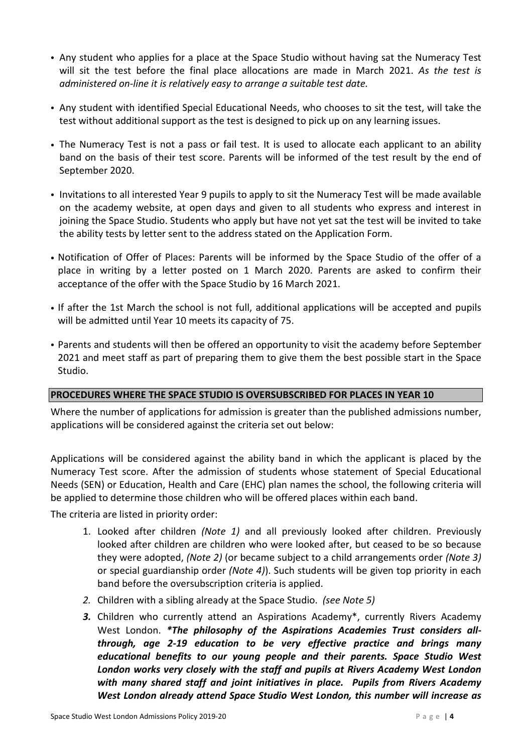- Any student who applies for a place at the Space Studio without having sat the Numeracy Test will sit the test before the final place allocations are made in March 2021. *As the test is administered on-line it is relatively easy to arrange a suitable test date.*
- Any student with identified Special Educational Needs, who chooses to sit the test, will take the test without additional support as the test is designed to pick up on any learning issues.
- The Numeracy Test is not a pass or fail test. It is used to allocate each applicant to an ability band on the basis of their test score. Parents will be informed of the test result by the end of September 2020.
- Invitations to all interested Year 9 pupils to apply to sit the Numeracy Test will be made available on the academy website, at open days and given to all students who express and interest in joining the Space Studio. Students who apply but have not yet sat the test will be invited to take the ability tests by letter sent to the address stated on the Application Form.
- Notification of Offer of Places: Parents will be informed by the Space Studio of the offer of a place in writing by a letter posted on 1 March 2020. Parents are asked to confirm their acceptance of the offer with the Space Studio by 16 March 2021.
- If after the 1st March the school is not full, additional applications will be accepted and pupils will be admitted until Year 10 meets its capacity of 75.
- Parents and students will then be offered an opportunity to visit the academy before September 2021 and meet staff as part of preparing them to give them the best possible start in the Space Studio.

### **PROCEDURES WHERE THE SPACE STUDIO IS OVERSUBSCRIBED FOR PLACES IN YEAR 10**

Where the number of applications for admission is greater than the published admissions number, applications will be considered against the criteria set out below:

Applications will be considered against the ability band in which the applicant is placed by the Numeracy Test score. After the admission of students whose statement of Special Educational Needs (SEN) or Education, Health and Care (EHC) plan names the school, the following criteria will be applied to determine those children who will be offered places within each band.

The criteria are listed in priority order:

- 1. Looked after children *(Note 1)* and all previously looked after children. Previously looked after children are children who were looked after, but ceased to be so because they were adopted, *(Note 2)* (or became subject to a child arrangements order *(Note 3)* or special guardianship order *(Note 4)*). Such students will be given top priority in each band before the oversubscription criteria is applied.
- *2.* Children with a sibling already at the Space Studio. *(see Note 5)*
- *3.* Children who currently attend an Aspirations Academy\*, currently Rivers Academy West London. *\*The philosophy of the Aspirations Academies Trust considers allthrough, age 2-19 education to be very effective practice and brings many educational benefits to our young people and their parents. Space Studio West London works very closely with the staff and pupils at Rivers Academy West London with many shared staff and joint initiatives in place. Pupils from Rivers Academy West London already attend Space Studio West London, this number will increase as*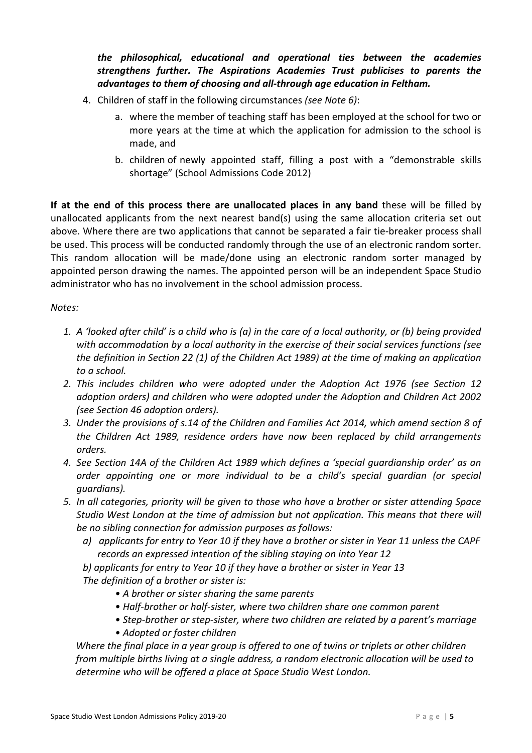# *the philosophical, educational and operational ties between the academies strengthens further. The Aspirations Academies Trust publicises to parents the advantages to them of choosing and all-through age education in Feltham.*

- 4. Children of staff in the following circumstances *(see Note 6)*:
	- a. where the member of teaching staff has been employed at the school for two or more years at the time at which the application for admission to the school is made, and
	- b. children of newly appointed staff, filling a post with a "demonstrable skills shortage" (School Admissions Code 2012)

**If at the end of this process there are unallocated places in any band** these will be filled by unallocated applicants from the next nearest band(s) using the same allocation criteria set out above. Where there are two applications that cannot be separated a fair tie-breaker process shall be used. This process will be conducted randomly through the use of an electronic random sorter. This random allocation will be made/done using an electronic random sorter managed by appointed person drawing the names. The appointed person will be an independent Space Studio administrator who has no involvement in the school admission process.

#### *Notes:*

- *1. A 'looked after child' is a child who is (a) in the care of a local authority, or (b) being provided with accommodation by a local authority in the exercise of their social services functions (see the definition in Section 22 (1) of the Children Act 1989) at the time of making an application to a school.*
- *2. This includes children who were adopted under the Adoption Act 1976 (see Section 12 adoption orders) and children who were adopted under the Adoption and Children Act 2002 (see Section 46 adoption orders).*
- *3. Under the provisions of s.14 of the Children and Families Act 2014, which amend section 8 of the Children Act 1989, residence orders have now been replaced by child arrangements orders.*
- *4. See Section 14A of the Children Act 1989 which defines a 'special guardianship order' as an order appointing one or more individual to be a child's special guardian (or special guardians).*
- *5. In all categories, priority will be given to those who have a brother or sister attending Space Studio West London at the time of admission but not application. This means that there will be no sibling connection for admission purposes as follows:*
	- *a) applicants for entry to Year 10 if they have a brother or sister in Year 11 unless the CAPF records an expressed intention of the sibling staying on into Year 12*

*b) applicants for entry to Year 10 if they have a brother or sister in Year 13 The definition of a brother or sister is:*

- *A brother or sister sharing the same parents*
- *Half-brother or half-sister, where two children share one common parent*
- *Step-brother or step-sister, where two children are related by a parent's marriage*
- *Adopted or foster children*

*Where the final place in a year group is offered to one of twins or triplets or other children from multiple births living at a single address, a random electronic allocation will be used to determine who will be offered a place at Space Studio West London.*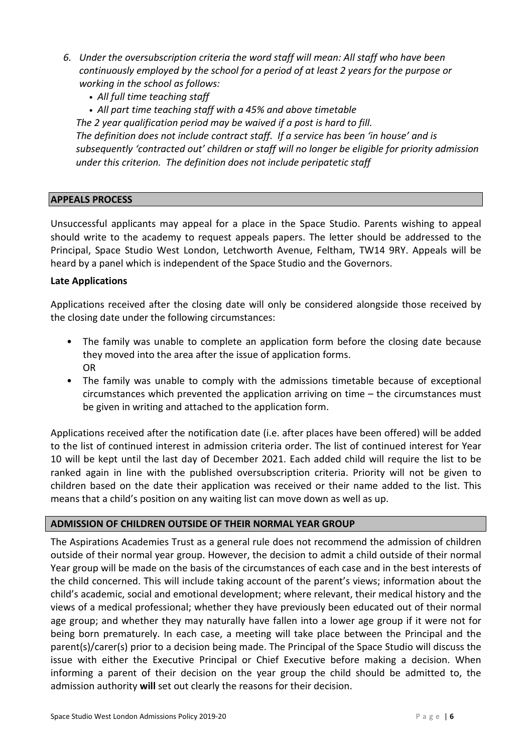- *6. Under the oversubscription criteria the word staff will mean: All staff who have been continuously employed by the school for a period of at least 2 years for the purpose or working in the school as follows:*
	- *• All full time teaching staff*
	- *• All part time teaching staff with a 45% and above timetable*

*The 2 year qualification period may be waived if a post is hard to fill. The definition does not include contract staff. If a service has been 'in house' and is subsequently 'contracted out' children or staff will no longer be eligible for priority admission under this criterion. The definition does not include peripatetic staff*

#### **APPEALS PROCESS**

Unsuccessful applicants may appeal for a place in the Space Studio. Parents wishing to appeal should write to the academy to request appeals papers. The letter should be addressed to the Principal, Space Studio West London, Letchworth Avenue, Feltham, TW14 9RY. Appeals will be heard by a panel which is independent of the Space Studio and the Governors.

#### **Late Applications**

Applications received after the closing date will only be considered alongside those received by the closing date under the following circumstances:

- The family was unable to complete an application form before the closing date because they moved into the area after the issue of application forms. OR
- The family was unable to comply with the admissions timetable because of exceptional circumstances which prevented the application arriving on time – the circumstances must be given in writing and attached to the application form.

Applications received after the notification date (i.e. after places have been offered) will be added to the list of continued interest in admission criteria order. The list of continued interest for Year 10 will be kept until the last day of December 2021. Each added child will require the list to be ranked again in line with the published oversubscription criteria. Priority will not be given to children based on the date their application was received or their name added to the list. This means that a child's position on any waiting list can move down as well as up.

#### **ADMISSION OF CHILDREN OUTSIDE OF THEIR NORMAL YEAR GROUP**

The Aspirations Academies Trust as a general rule does not recommend the admission of children outside of their normal year group. However, the decision to admit a child outside of their normal Year group will be made on the basis of the circumstances of each case and in the best interests of the child concerned. This will include taking account of the parent's views; information about the child's academic, social and emotional development; where relevant, their medical history and the views of a medical professional; whether they have previously been educated out of their normal age group; and whether they may naturally have fallen into a lower age group if it were not for being born prematurely. In each case, a meeting will take place between the Principal and the parent(s)/carer(s) prior to a decision being made. The Principal of the Space Studio will discuss the issue with either the Executive Principal or Chief Executive before making a decision. When informing a parent of their decision on the year group the child should be admitted to, the admission authority **will** set out clearly the reasons for their decision.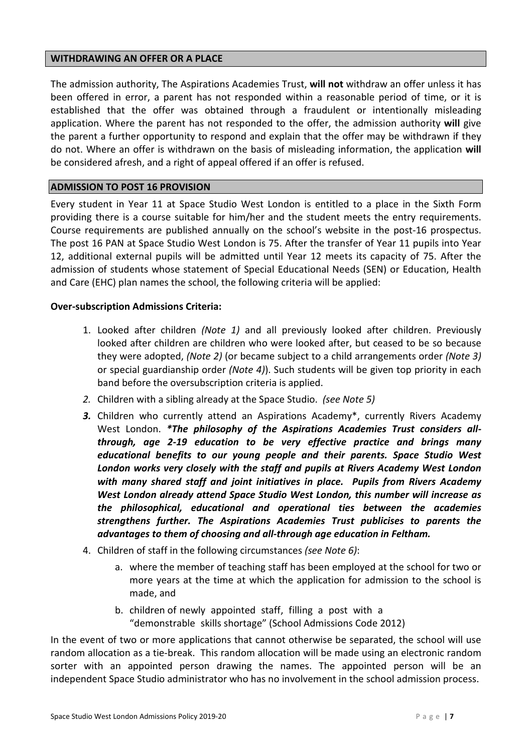#### **WITHDRAWING AN OFFER OR A PLACE**

The admission authority, The Aspirations Academies Trust, **will not** withdraw an offer unless it has been offered in error, a parent has not responded within a reasonable period of time, or it is established that the offer was obtained through a fraudulent or intentionally misleading application. Where the parent has not responded to the offer, the admission authority **will** give the parent a further opportunity to respond and explain that the offer may be withdrawn if they do not. Where an offer is withdrawn on the basis of misleading information, the application **will** be considered afresh, and a right of appeal offered if an offer is refused.

#### **ADMISSION TO POST 16 PROVISION**

Every student in Year 11 at Space Studio West London is entitled to a place in the Sixth Form providing there is a course suitable for him/her and the student meets the entry requirements. Course requirements are published annually on the school's website in the post-16 prospectus. The post 16 PAN at Space Studio West London is 75. After the transfer of Year 11 pupils into Year 12, additional external pupils will be admitted until Year 12 meets its capacity of 75. After the admission of students whose statement of Special Educational Needs (SEN) or Education, Health and Care (EHC) plan names the school, the following criteria will be applied:

#### **Over-subscription Admissions Criteria:**

- 1. Looked after children *(Note 1)* and all previously looked after children. Previously looked after children are children who were looked after, but ceased to be so because they were adopted, *(Note 2)* (or became subject to a child arrangements order *(Note 3)* or special guardianship order *(Note 4)*). Such students will be given top priority in each band before the oversubscription criteria is applied.
- *2.* Children with a sibling already at the Space Studio. *(see Note 5)*
- *3.* Children who currently attend an Aspirations Academy\*, currently Rivers Academy West London. *\*The philosophy of the Aspirations Academies Trust considers allthrough, age 2-19 education to be very effective practice and brings many educational benefits to our young people and their parents. Space Studio West London works very closely with the staff and pupils at Rivers Academy West London with many shared staff and joint initiatives in place. Pupils from Rivers Academy West London already attend Space Studio West London, this number will increase as the philosophical, educational and operational ties between the academies strengthens further. The Aspirations Academies Trust publicises to parents the advantages to them of choosing and all-through age education in Feltham.*
- 4. Children of staff in the following circumstances *(see Note 6)*:
	- a. where the member of teaching staff has been employed at the school for two or more years at the time at which the application for admission to the school is made, and
	- b. children of newly appointed staff, filling a post with a "demonstrable skills shortage" (School Admissions Code 2012)

In the event of two or more applications that cannot otherwise be separated, the school will use random allocation as a tie-break. This random allocation will be made using an electronic random sorter with an appointed person drawing the names. The appointed person will be an independent Space Studio administrator who has no involvement in the school admission process.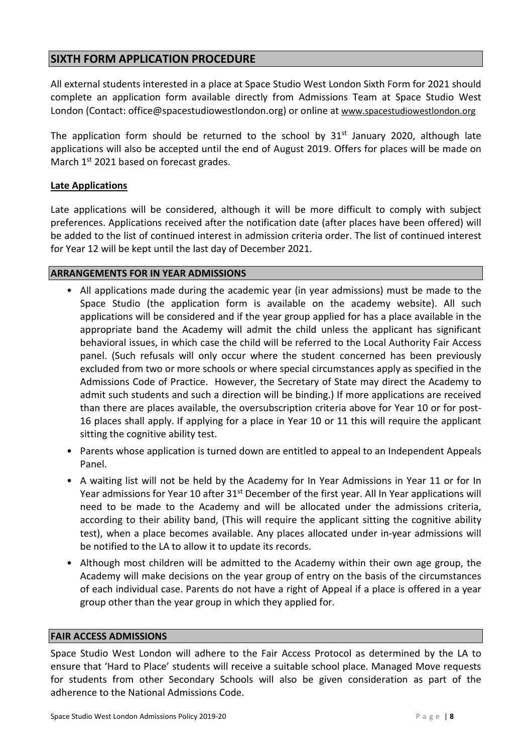# **SIXTH FORM APPLICATION PROCEDURE**

All external students interested in a place at Space Studio West London Sixth Form for 2021 should complete an application form available directly from Admissions Team at Space Studio West London (Contact: office@spacestudiowestlondon.org) or online at [www.spacestudiowestlondon.org](http://www.spacestudiowestlondon.org/)

The application form should be returned to the school by  $31^{st}$  January 2020, although late applications will also be accepted until the end of August 2019. Offers for places will be made on March 1<sup>st</sup> 2021 based on forecast grades.

#### **Late Applications**

Late applications will be considered, although it will be more difficult to comply with subject preferences. Applications received after the notification date (after places have been offered) will be added to the list of continued interest in admission criteria order. The list of continued interest for Year 12 will be kept until the last day of December 2021.

#### **ARRANGEMENTS FOR IN YEAR ADMISSIONS**

- All applications made during the academic year (in year admissions) must be made to the Space Studio (the application form is available on the academy website). All such applications will be considered and if the year group applied for has a place available in the appropriate band the Academy will admit the child unless the applicant has significant behavioral issues, in which case the child will be referred to the Local Authority Fair Access panel. (Such refusals will only occur where the student concerned has been previously excluded from two or more schools or where special circumstances apply as specified in the Admissions Code of Practice. However, the Secretary of State may direct the Academy to admit such students and such a direction will be binding.) If more applications are received than there are places available, the oversubscription criteria above for Year 10 or for post-16 places shall apply. If applying for a place in Year 10 or 11 this will require the applicant sitting the cognitive ability test.
- Parents whose application is turned down are entitled to appeal to an Independent Appeals Panel.
- A waiting list will not be held by the Academy for In Year Admissions in Year 11 or for In Year admissions for Year 10 after 31<sup>st</sup> December of the first year. All In Year applications will need to be made to the Academy and will be allocated under the admissions criteria, according to their ability band, (This will require the applicant sitting the cognitive ability test), when a place becomes available. Any places allocated under in-year admissions will be notified to the LA to allow it to update its records.
- Although most children will be admitted to the Academy within their own age group, the Academy will make decisions on the year group of entry on the basis of the circumstances of each individual case. Parents do not have a right of Appeal if a place is offered in a year group other than the year group in which they applied for.

#### **FAIR ACCESS ADMISSIONS**

Space Studio West London will adhere to the Fair Access Protocol as determined by the LA to ensure that 'Hard to Place' students will receive a suitable school place. Managed Move requests for students from other Secondary Schools will also be given consideration as part of the adherence to the National Admissions Code.